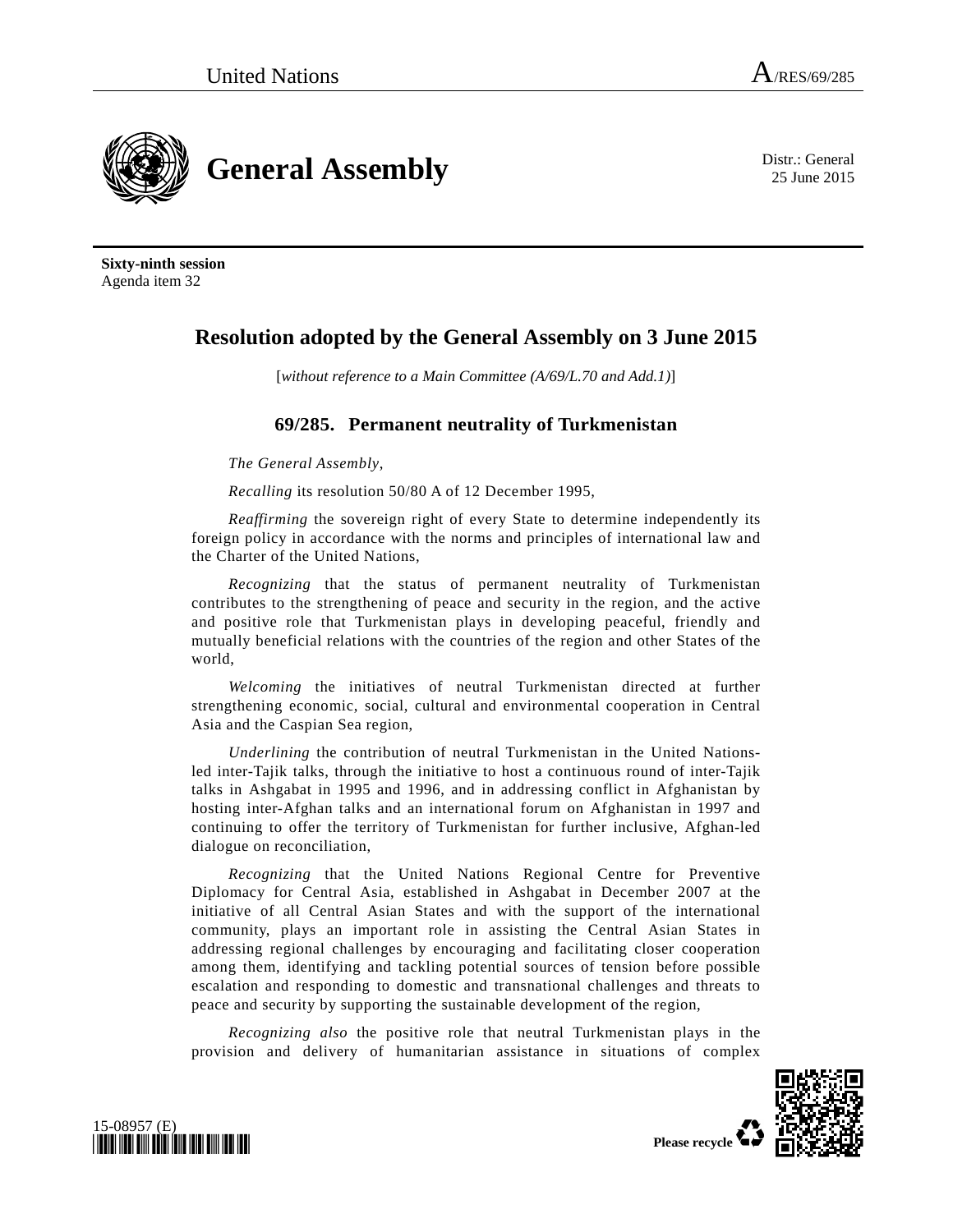**General Assembly** District General **District General** 

25 June 2015

**Sixty-ninth session**  Agenda item 32

## **Resolution adopted by the General Assembly on 3 June 2015**

[*without reference to a Main Committee (A/69/L.70 and Add.1)*]

## **69/285. Permanent neutrality of Turkmenistan**

*The General Assembly*,

*Recalling* its resolution 50/80 A of 12 December 1995,

*Reaffirming* the sovereign right of every State to determine independently its foreign policy in accordance with the norms and principles of international law and the Charter of the United Nations,

*Recognizing* that the status of permanent neutrality of Turkmenistan contributes to the strengthening of peace and security in the region, and the active and positive role that Turkmenistan plays in developing peaceful, friendly and mutually beneficial relations with the countries of the region and other States of the world,

*Welcoming* the initiatives of neutral Turkmenistan directed at further strengthening economic, social, cultural and environmental cooperation in Central Asia and the Caspian Sea region,

*Underlining* the contribution of neutral Turkmenistan in the United Nationsled inter-Tajik talks, through the initiative to host a continuous round of inter-Tajik talks in Ashgabat in 1995 and 1996, and in addressing conflict in Afghanistan by hosting inter-Afghan talks and an international forum on Afghanistan in 1997 and continuing to offer the territory of Turkmenistan for further inclusive, Afghan-led dialogue on reconciliation,

*Recognizing* that the United Nations Regional Centre for Preventive Diplomacy for Central Asia, established in Ashgabat in December 2007 at the initiative of all Central Asian States and with the support of the international community, plays an important role in assisting the Central Asian States in addressing regional challenges by encouraging and facilitating closer cooperation among them, identifying and tackling potential sources of tension before possible escalation and responding to domestic and transnational challenges and threats to peace and security by supporting the sustainable development of the region,

*Recognizing also* the positive role that neutral Turkmenistan plays in the provision and delivery of humanitarian assistance in situations of complex